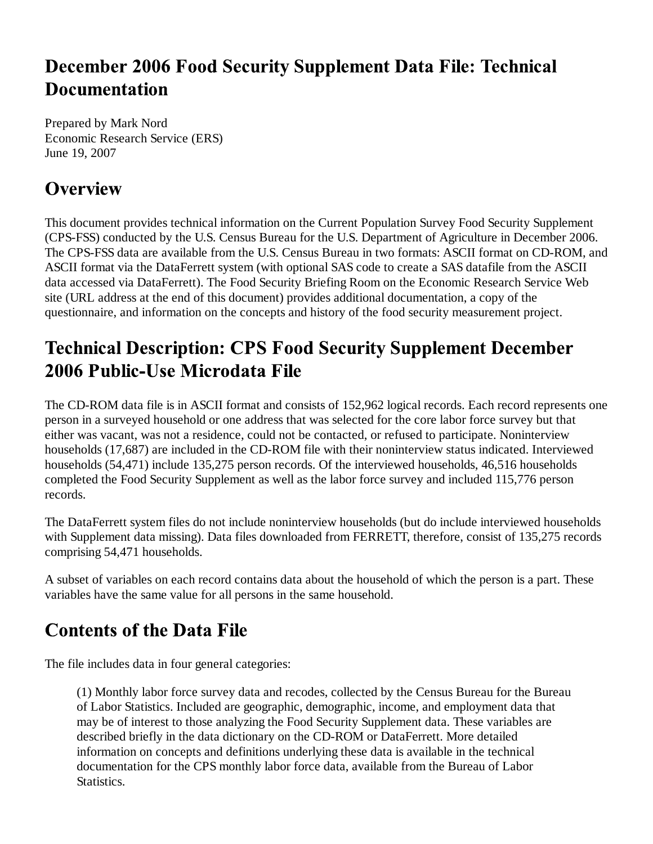### **December 2006 Food Security Supplement Data File: Technical Documentation**

Prepared by Mark Nord Economic Research Service (ERS) June 19, 2007

# **Overview**

This document provides technical information on the Current Population Survey Food Security Supplement (CPS-FSS) conducted by the U.S. Census Bureau for the U.S. Department of Agriculture in December 2006. The CPS-FSS data are available from the U.S. Census Bureau in two formats: ASCII format on CD-ROM, and ASCII format via the DataFerrett system (with optional SAS code to create a SAS datafile from the ASCII data accessed via DataFerrett). The Food Security Briefing Room on the Economic Research Service Web site (URL address at the end of this document) provides additional documentation, a copy of the questionnaire, and information on the concepts and history of the food security measurement project.

# **Technical Description: CPS Food Security Supplement December** 2006 Public-Use Microdata File

The CD-ROM data file is in ASCII format and consists of 152,962 logical records. Each record represents one person in a surveyed household or one address that was selected for the core labor force survey but that either was vacant, was not a residence, could not be contacted, or refused to participate. Noninterview households (17,687) are included in the CD-ROM file with their noninterview status indicated. Interviewed households (54,471) include 135,275 person records. Of the interviewed households, 46,516 households completed the Food Security Supplement as well as the labor force survey and included 115,776 person records.

The DataFerrett system files do not include noninterview households (but do include interviewed households with Supplement data missing). Data files downloaded from FERRETT, therefore, consist of 135,275 records comprising 54,471 households.

A subset of variables on each record contains data about the household of which the person is a part. These variables have the same value for all persons in the same household.

# **Contents of the Data File**

The file includes data in four general categories:

(1) Monthly labor force survey data and recodes, collected by the Census Bureau for the Bureau of Labor Statistics. Included are geographic, demographic, income, and employment data that may be of interest to those analyzing the Food Security Supplement data. These variables are described briefly in the data dictionary on the CD-ROM or DataFerrett. More detailed information on concepts and definitions underlying these data is available in the technical documentation for the CPS monthly labor force data, available from the Bureau of Labor Statistics.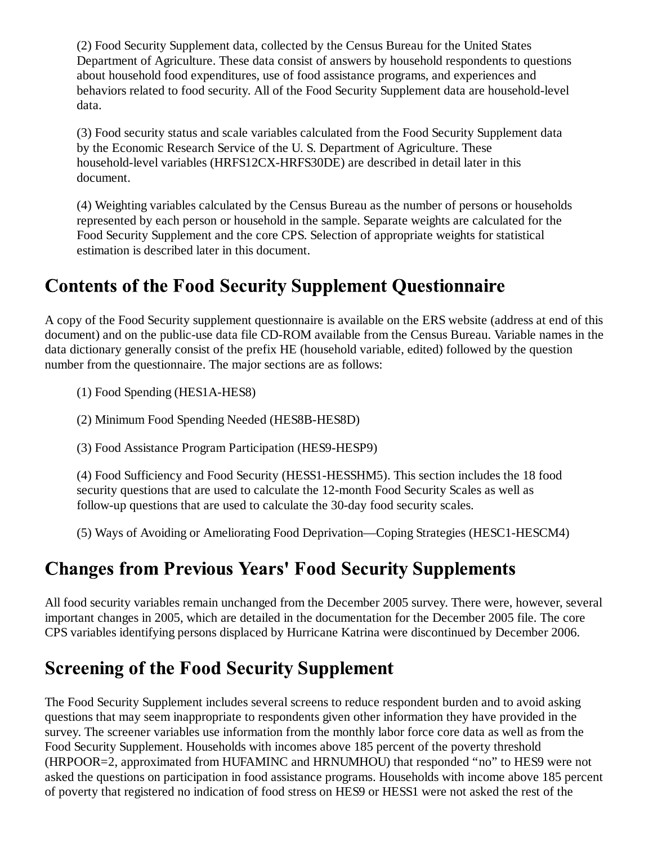(2) Food Security Supplement data, collected by the Census Bureau for the United States Department of Agriculture. These data consist of answers by household respondents to questions about household food expenditures, use of food assistance programs, and experiences and behaviors related to food security. All of the Food Security Supplement data are household-level data.

(3) Food security status and scale variables calculated from the Food Security Supplement data by the Economic Research Service of the U. S. Department of Agriculture. These household-level variables (HRFS12CX-HRFS30DE) are described in detail later in this document.

(4) Weighting variables calculated by the Census Bureau as the number of persons or households represented by each person or household in the sample. Separate weights are calculated for the Food Security Supplement and the core CPS. Selection of appropriate weights for statistical estimation is described later in this document.

#### **Contents of the Food Security Supplement Questionnaire**

A copy of the Food Security supplement questionnaire is available on the ERS website (address at end of this document) and on the public-use data file CD-ROM available from the Census Bureau. Variable names in the data dictionary generally consist of the prefix HE (household variable, edited) followed by the question number from the questionnaire. The major sections are as follows:

(1) Food Spending (HES1A-HES8)

(2) Minimum Food Spending Needed (HES8B-HES8D)

(3) Food Assistance Program Participation (HES9-HESP9)

(4) Food Sufficiency and Food Security (HESS1-HESSHM5). This section includes the 18 food security questions that are used to calculate the 12-month Food Security Scales as well as follow-up questions that are used to calculate the 30-day food security scales.

(5) Ways of Avoiding or Ameliorating Food Deprivation—Coping Strategies (HESC1-HESCM4)

# **Changes from Previous Years' Food Security Supplements**

All food security variables remain unchanged from the December 2005 survey. There were, however, several important changes in 2005, which are detailed in the documentation for the December 2005 file. The core CPS variables identifying persons displaced by Hurricane Katrina were discontinued by December 2006.

# **Screening of the Food Security Supplement**

The Food Security Supplement includes several screens to reduce respondent burden and to avoid asking questions that may seem inappropriate to respondents given other information they have provided in the survey. The screener variables use information from the monthly labor force core data as well as from the Food Security Supplement. Households with incomes above 185 percent of the poverty threshold (HRPOOR=2, approximated from HUFAMINC and HRNUMHOU) that responded "no" to HES9 were not asked the questions on participation in food assistance programs. Households with income above 185 percent of poverty that registered no indication of food stress on HES9 or HESS1 were not asked the rest of the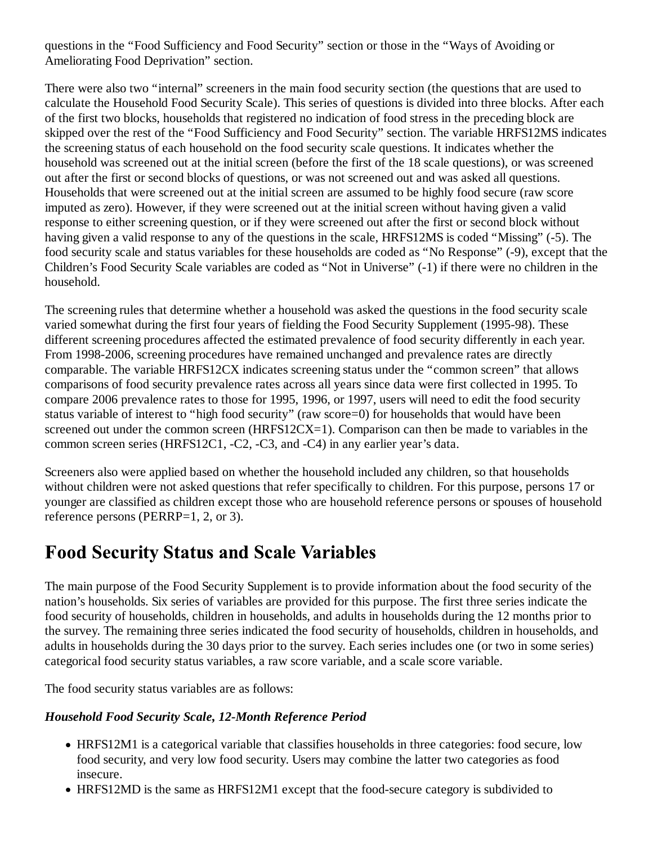questions in the "Food Sufficiency and Food Security" section or those in the "Ways of Avoiding or Ameliorating Food Deprivation" section.

There were also two "internal" screeners in the main food security section (the questions that are used to calculate the Household Food Security Scale). This series of questions is divided into three blocks. After each of the first two blocks, households that registered no indication of food stress in the preceding block are skipped over the rest of the "Food Sufficiency and Food Security" section. The variable HRFS12MS indicates the screening status of each household on the food security scale questions. It indicates whether the household was screened out at the initial screen (before the first of the 18 scale questions), or was screened out after the first or second blocks of questions, or was not screened out and was asked all questions. Households that were screened out at the initial screen are assumed to be highly food secure (raw score imputed as zero). However, if they were screened out at the initial screen without having given a valid response to either screening question, or if they were screened out after the first or second block without having given a valid response to any of the questions in the scale, HRFS12MS is coded "Missing" (-5). The food security scale and status variables for these households are coded as "No Response" (-9), except that the Children's Food Security Scale variables are coded as "Not in Universe" (-1) if there were no children in the household.

The screening rules that determine whether a household was asked the questions in the food security scale varied somewhat during the first four years of fielding the Food Security Supplement (1995-98). These different screening procedures affected the estimated prevalence of food security differently in each year. From 1998-2006, screening procedures have remained unchanged and prevalence rates are directly comparable. The variable HRFS12CX indicates screening status under the "common screen" that allows comparisons of food security prevalence rates across all years since data were first collected in 1995. To compare 2006 prevalence rates to those for 1995, 1996, or 1997, users will need to edit the food security status variable of interest to "high food security" (raw score=0) for households that would have been screened out under the common screen (HRFS12CX=1). Comparison can then be made to variables in the common screen series (HRFS12C1, -C2, -C3, and -C4) in any earlier year's data.

Screeners also were applied based on whether the household included any children, so that households without children were not asked questions that refer specifically to children. For this purpose, persons 17 or younger are classified as children except those who are household reference persons or spouses of household reference persons (PERRP=1, 2, or 3).

#### **Food Security Status and Scale Variables**

The main purpose of the Food Security Supplement is to provide information about the food security of the nation's households. Six series of variables are provided for this purpose. The first three series indicate the food security of households, children in households, and adults in households during the 12 months prior to the survey. The remaining three series indicated the food security of households, children in households, and adults in households during the 30 days prior to the survey. Each series includes one (or two in some series) categorical food security status variables, a raw score variable, and a scale score variable.

The food security status variables are as follows:

#### *Household Food Security Scale, 12-Month Reference Period*

- HRFS12M1 is a categorical variable that classifies households in three categories: food secure, low food security, and very low food security. Users may combine the latter two categories as food insecure.
- HRFS12MD is the same as HRFS12M1 except that the food-secure category is subdivided to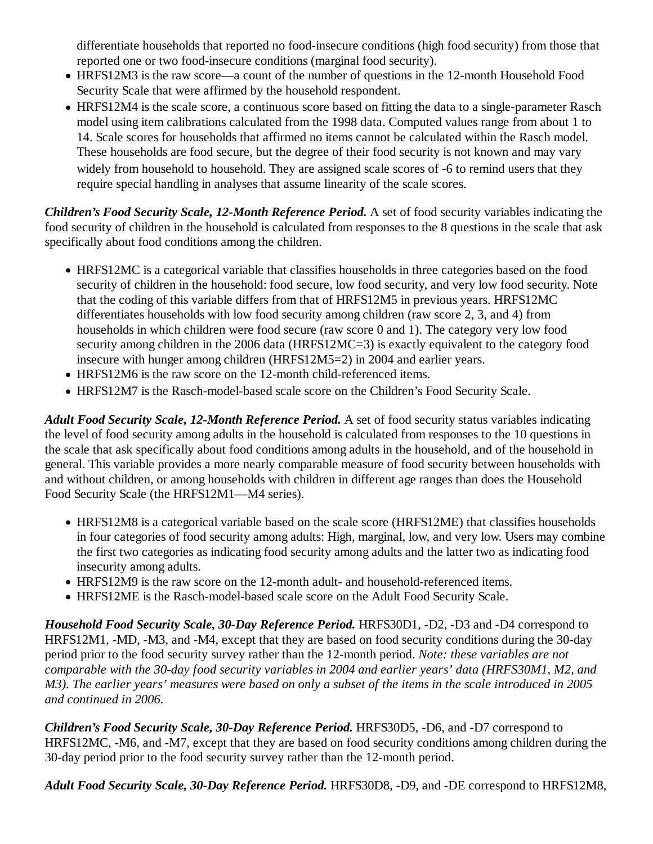differentiate households that reported no food-insecure conditions (high food security) from those that reported one or two food-insecure conditions (marginal food security).

- HRFS12M3 is the raw score—a count of the number of questions in the 12-month Household Food Security Scale that were affirmed by the household respondent.
- HRFS12M4 is the scale score, a continuous score based on fitting the data to a single-parameter Rasch model using item calibrations calculated from the 1998 data. Computed values range from about 1 to 14. Scale scores for households that affirmed no items cannot be calculated within the Rasch model. These households are food secure, but the degree of their food security is not known and may vary widely from household to household. They are assigned scale scores of -6 to remind users that they require special handling in analyses that assume linearity of the scale scores.

*Children's Food Security Scale, 12-Month Reference Period.* A set of food security variables indicating the food security of children in the household is calculated from responses to the 8 questions in the scale that ask specifically about food conditions among the children.

- HRFS12MC is a categorical variable that classifies households in three categories based on the food security of children in the household: food secure, low food security, and very low food security. Note that the coding of this variable differs from that of HRFS12M5 in previous years. HRFS12MC differentiates households with low food security among children (raw score 2, 3, and 4) from households in which children were food secure (raw score 0 and 1). The category very low food security among children in the 2006 data (HRFS12MC=3) is exactly equivalent to the category food insecure with hunger among children (HRFS12M5=2) in 2004 and earlier years.
- HRFS12M6 is the raw score on the 12-month child-referenced items.
- HRFS12M7 is the Rasch-model-based scale score on the Children's Food Security Scale.

*Adult Food Security Scale, 12-Month Reference Period.* A set of food security status variables indicating the level of food security among adults in the household is calculated from responses to the 10 questions in the scale that ask specifically about food conditions among adults in the household, and of the household in general. This variable provides a more nearly comparable measure of food security between households with and without children, or among households with children in different age ranges than does the Household Food Security Scale (the HRFS12M1—M4 series).

- HRFS12M8 is a categorical variable based on the scale score (HRFS12ME) that classifies households in four categories of food security among adults: High, marginal, low, and very low. Users may combine the first two categories as indicating food security among adults and the latter two as indicating food insecurity among adults.
- HRFS12M9 is the raw score on the 12-month adult- and household-referenced items.
- HRFS12ME is the Rasch-model-based scale score on the Adult Food Security Scale.

*Household Food Security Scale, 30-Day Reference Period.* HRFS30D1, -D2, -D3 and -D4 correspond to HRFS12M1, -MD, -M3, and -M4, except that they are based on food security conditions during the 30-day period prior to the food security survey rather than the 12-month period. *Note: these variables are not comparable with the 30-day food security variables in 2004 and earlier years' data (HRFS30M1, M2, and M3). The earlier years' measures were based on only a subset of the items in the scale introduced in 2005 and continued in 2006.*

*Children's Food Security Scale, 30-Day Reference Period.* HRFS30D5, -D6, and -D7 correspond to HRFS12MC, -M6, and -M7, except that they are based on food security conditions among children during the 30-day period prior to the food security survey rather than the 12-month period.

*Adult Food Security Scale, 30-Day Reference Period.* HRFS30D8, -D9, and -DE correspond to HRFS12M8,